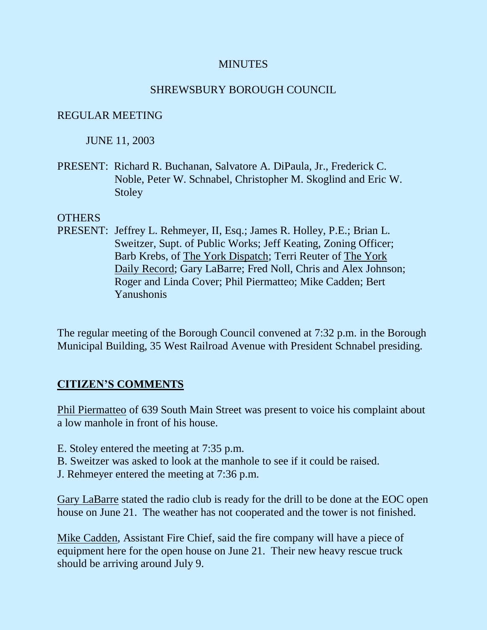#### **MINUTES**

#### SHREWSBURY BOROUGH COUNCIL

#### REGULAR MEETING

#### JUNE 11, 2003

PRESENT: Richard R. Buchanan, Salvatore A. DiPaula, Jr., Frederick C. Noble, Peter W. Schnabel, Christopher M. Skoglind and Eric W. Stoley

#### **OTHERS**

PRESENT: Jeffrey L. Rehmeyer, II, Esq.; James R. Holley, P.E.; Brian L. Sweitzer, Supt. of Public Works; Jeff Keating, Zoning Officer; Barb Krebs, of The York Dispatch; Terri Reuter of The York Daily Record; Gary LaBarre; Fred Noll, Chris and Alex Johnson; Roger and Linda Cover; Phil Piermatteo; Mike Cadden; Bert Yanushonis

The regular meeting of the Borough Council convened at 7:32 p.m. in the Borough Municipal Building, 35 West Railroad Avenue with President Schnabel presiding.

## **CITIZEN'S COMMENTS**

Phil Piermatteo of 639 South Main Street was present to voice his complaint about a low manhole in front of his house.

- E. Stoley entered the meeting at 7:35 p.m.
- B. Sweitzer was asked to look at the manhole to see if it could be raised.
- J. Rehmeyer entered the meeting at 7:36 p.m.

Gary LaBarre stated the radio club is ready for the drill to be done at the EOC open house on June 21. The weather has not cooperated and the tower is not finished.

Mike Cadden, Assistant Fire Chief, said the fire company will have a piece of equipment here for the open house on June 21. Their new heavy rescue truck should be arriving around July 9.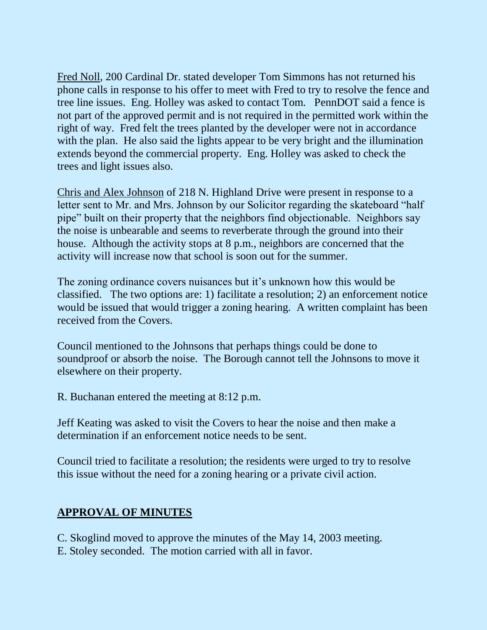Fred Noll, 200 Cardinal Dr. stated developer Tom Simmons has not returned his phone calls in response to his offer to meet with Fred to try to resolve the fence and tree line issues. Eng. Holley was asked to contact Tom. PennDOT said a fence is not part of the approved permit and is not required in the permitted work within the right of way. Fred felt the trees planted by the developer were not in accordance with the plan. He also said the lights appear to be very bright and the illumination extends beyond the commercial property. Eng. Holley was asked to check the trees and light issues also.

Chris and Alex Johnson of 218 N. Highland Drive were present in response to a letter sent to Mr. and Mrs. Johnson by our Solicitor regarding the skateboard "half pipe" built on their property that the neighbors find objectionable. Neighbors say the noise is unbearable and seems to reverberate through the ground into their house. Although the activity stops at 8 p.m., neighbors are concerned that the activity will increase now that school is soon out for the summer.

The zoning ordinance covers nuisances but it's unknown how this would be classified. The two options are: 1) facilitate a resolution; 2) an enforcement notice would be issued that would trigger a zoning hearing. A written complaint has been received from the Covers.

Council mentioned to the Johnsons that perhaps things could be done to soundproof or absorb the noise. The Borough cannot tell the Johnsons to move it elsewhere on their property.

R. Buchanan entered the meeting at 8:12 p.m.

Jeff Keating was asked to visit the Covers to hear the noise and then make a determination if an enforcement notice needs to be sent.

Council tried to facilitate a resolution; the residents were urged to try to resolve this issue without the need for a zoning hearing or a private civil action.

# **APPROVAL OF MINUTES**

C. Skoglind moved to approve the minutes of the May 14, 2003 meeting. E. Stoley seconded. The motion carried with all in favor.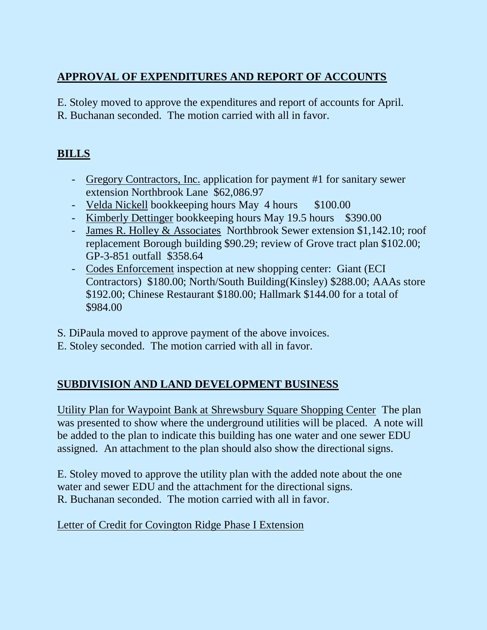# **APPROVAL OF EXPENDITURES AND REPORT OF ACCOUNTS**

E. Stoley moved to approve the expenditures and report of accounts for April. R. Buchanan seconded. The motion carried with all in favor.

# **BILLS**

- Gregory Contractors, Inc. application for payment #1 for sanitary sewer extension Northbrook Lane \$62,086.97
- Velda Nickell bookkeeping hours May 4 hours \$100.00
- Kimberly Dettinger bookkeeping hours May 19.5 hours \$390.00
- James R. Holley & Associates Northbrook Sewer extension \$1,142.10; roof replacement Borough building \$90.29; review of Grove tract plan \$102.00; GP-3-851 outfall \$358.64
- Codes Enforcement inspection at new shopping center: Giant (ECI Contractors) \$180.00; North/South Building(Kinsley) \$288.00; AAAs store \$192.00; Chinese Restaurant \$180.00; Hallmark \$144.00 for a total of \$984.00
- S. DiPaula moved to approve payment of the above invoices.
- E. Stoley seconded. The motion carried with all in favor.

# **SUBDIVISION AND LAND DEVELOPMENT BUSINESS**

Utility Plan for Waypoint Bank at Shrewsbury Square Shopping Center The plan was presented to show where the underground utilities will be placed. A note will be added to the plan to indicate this building has one water and one sewer EDU assigned. An attachment to the plan should also show the directional signs.

E. Stoley moved to approve the utility plan with the added note about the one water and sewer EDU and the attachment for the directional signs. R. Buchanan seconded. The motion carried with all in favor.

## Letter of Credit for Covington Ridge Phase I Extension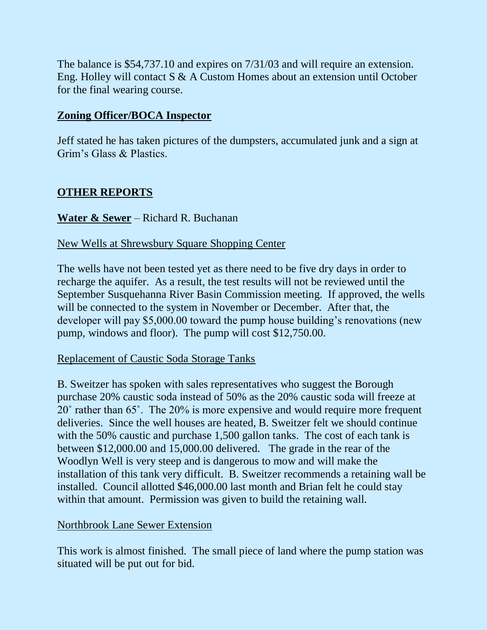The balance is \$54,737.10 and expires on 7/31/03 and will require an extension. Eng. Holley will contact S & A Custom Homes about an extension until October for the final wearing course.

# **Zoning Officer/BOCA Inspector**

Jeff stated he has taken pictures of the dumpsters, accumulated junk and a sign at Grim's Glass & Plastics.

# **OTHER REPORTS**

## **Water & Sewer** – Richard R. Buchanan

#### New Wells at Shrewsbury Square Shopping Center

The wells have not been tested yet as there need to be five dry days in order to recharge the aquifer. As a result, the test results will not be reviewed until the September Susquehanna River Basin Commission meeting. If approved, the wells will be connected to the system in November or December. After that, the developer will pay \$5,000.00 toward the pump house building's renovations (new pump, windows and floor). The pump will cost \$12,750.00.

#### Replacement of Caustic Soda Storage Tanks

B. Sweitzer has spoken with sales representatives who suggest the Borough purchase 20% caustic soda instead of 50% as the 20% caustic soda will freeze at 20˚ rather than 65˚. The 20% is more expensive and would require more frequent deliveries. Since the well houses are heated, B. Sweitzer felt we should continue with the 50% caustic and purchase 1,500 gallon tanks. The cost of each tank is between \$12,000.00 and 15,000.00 delivered. The grade in the rear of the Woodlyn Well is very steep and is dangerous to mow and will make the installation of this tank very difficult. B. Sweitzer recommends a retaining wall be installed. Council allotted \$46,000.00 last month and Brian felt he could stay within that amount. Permission was given to build the retaining wall.

#### Northbrook Lane Sewer Extension

This work is almost finished. The small piece of land where the pump station was situated will be put out for bid.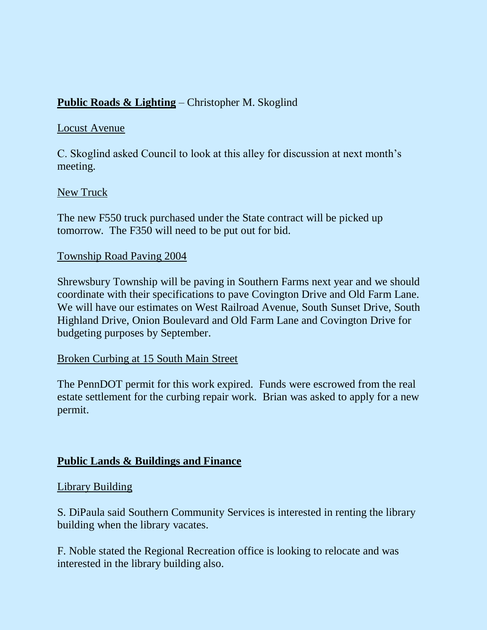# **Public Roads & Lighting** – Christopher M. Skoglind

## Locust Avenue

C. Skoglind asked Council to look at this alley for discussion at next month's meeting.

## New Truck

The new F550 truck purchased under the State contract will be picked up tomorrow. The F350 will need to be put out for bid.

## Township Road Paving 2004

Shrewsbury Township will be paving in Southern Farms next year and we should coordinate with their specifications to pave Covington Drive and Old Farm Lane. We will have our estimates on West Railroad Avenue, South Sunset Drive, South Highland Drive, Onion Boulevard and Old Farm Lane and Covington Drive for budgeting purposes by September.

## Broken Curbing at 15 South Main Street

The PennDOT permit for this work expired. Funds were escrowed from the real estate settlement for the curbing repair work. Brian was asked to apply for a new permit.

## **Public Lands & Buildings and Finance**

## Library Building

S. DiPaula said Southern Community Services is interested in renting the library building when the library vacates.

F. Noble stated the Regional Recreation office is looking to relocate and was interested in the library building also.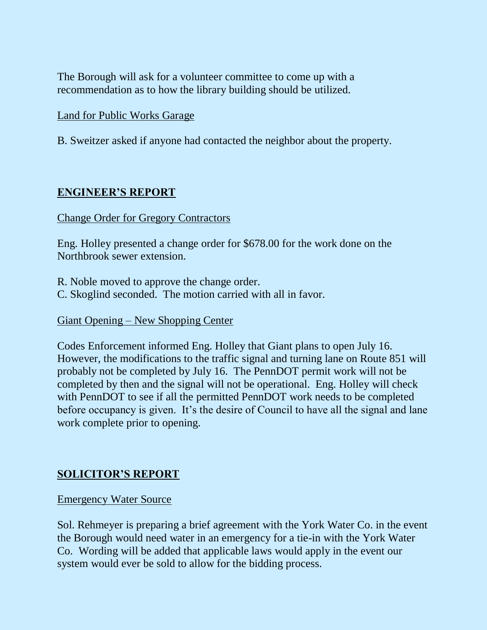The Borough will ask for a volunteer committee to come up with a recommendation as to how the library building should be utilized.

#### Land for Public Works Garage

B. Sweitzer asked if anyone had contacted the neighbor about the property.

## **ENGINEER'S REPORT**

#### Change Order for Gregory Contractors

Eng. Holley presented a change order for \$678.00 for the work done on the Northbrook sewer extension.

R. Noble moved to approve the change order. C. Skoglind seconded. The motion carried with all in favor.

Giant Opening – New Shopping Center

Codes Enforcement informed Eng. Holley that Giant plans to open July 16. However, the modifications to the traffic signal and turning lane on Route 851 will probably not be completed by July 16. The PennDOT permit work will not be completed by then and the signal will not be operational. Eng. Holley will check with PennDOT to see if all the permitted PennDOT work needs to be completed before occupancy is given. It's the desire of Council to have all the signal and lane work complete prior to opening.

## **SOLICITOR'S REPORT**

#### Emergency Water Source

Sol. Rehmeyer is preparing a brief agreement with the York Water Co. in the event the Borough would need water in an emergency for a tie-in with the York Water Co. Wording will be added that applicable laws would apply in the event our system would ever be sold to allow for the bidding process.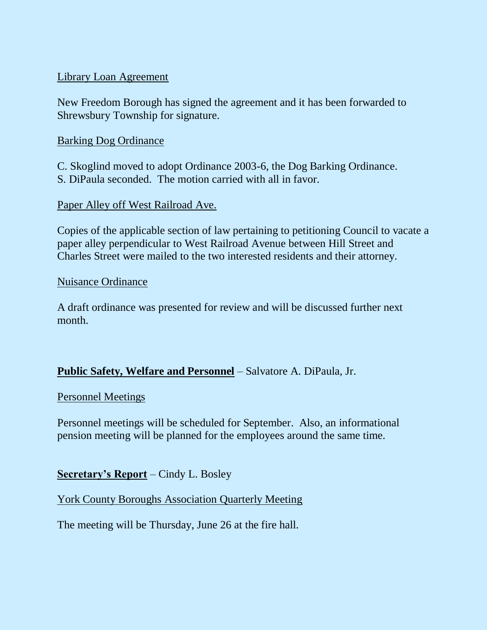#### Library Loan Agreement

New Freedom Borough has signed the agreement and it has been forwarded to Shrewsbury Township for signature.

#### Barking Dog Ordinance

C. Skoglind moved to adopt Ordinance 2003-6, the Dog Barking Ordinance. S. DiPaula seconded. The motion carried with all in favor.

#### Paper Alley off West Railroad Ave.

Copies of the applicable section of law pertaining to petitioning Council to vacate a paper alley perpendicular to West Railroad Avenue between Hill Street and Charles Street were mailed to the two interested residents and their attorney.

#### Nuisance Ordinance

A draft ordinance was presented for review and will be discussed further next month.

## **Public Safety, Welfare and Personnel** – Salvatore A. DiPaula, Jr.

Personnel Meetings

Personnel meetings will be scheduled for September. Also, an informational pension meeting will be planned for the employees around the same time.

## **Secretary's Report** – Cindy L. Bosley

York County Boroughs Association Quarterly Meeting

The meeting will be Thursday, June 26 at the fire hall.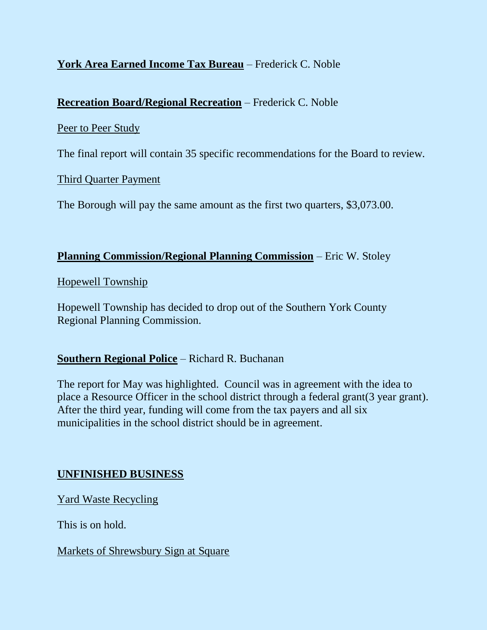# **York Area Earned Income Tax Bureau** – Frederick C. Noble

## **Recreation Board/Regional Recreation** – Frederick C. Noble

#### Peer to Peer Study

The final report will contain 35 specific recommendations for the Board to review.

## Third Quarter Payment

The Borough will pay the same amount as the first two quarters, \$3,073.00.

#### **Planning Commission/Regional Planning Commission** – Eric W. Stoley

Hopewell Township

Hopewell Township has decided to drop out of the Southern York County Regional Planning Commission.

## **Southern Regional Police** – Richard R. Buchanan

The report for May was highlighted. Council was in agreement with the idea to place a Resource Officer in the school district through a federal grant(3 year grant). After the third year, funding will come from the tax payers and all six municipalities in the school district should be in agreement.

## **UNFINISHED BUSINESS**

Yard Waste Recycling

This is on hold.

Markets of Shrewsbury Sign at Square